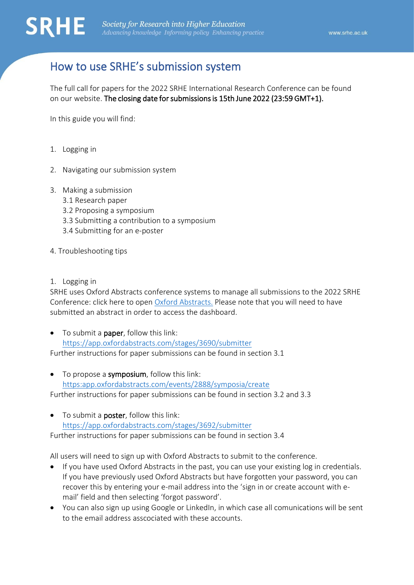

# How to use SRHE's submission system

The full call for papers for the 2022 SRHE International Research Conference can be found on our website. The closing date for submissions is 15th June 2022 (23:59 GMT+1).

In this guide you will find:

- 1. Logging in
- 2. Navigating our submission system
- 3. Making a submission
	- 3.1 Research paper
	- 3.2 Proposing a symposium
	- 3.3 Submitting a contribution to a symposium
	- 3.4 Submitting for an e-poster
- 4. Troubleshooting tips
- 1. Logging in

SRHE uses Oxford Abstracts conference systems to manage all submissions to the 2022 SRHE Conference: click here to open [Oxford Abstracts.](https://app.oxfordabstracts.com/dashboard/events/2888) Please note that you will need to have submitted an abstract in order to access the dashboard.

- To submit a paper, follow this link: <https://app.oxfordabstracts.com/stages/3690/submitter> Further instructions for paper submissions can be found in section 3.1
- To propose a **symposium**, follow this link: [https:app.oxfordabstracts.com/events/2888/symposia/create](https://app.oxfordabstracts.com/events/2888/symposia/create) Further instructions for paper submissions can be found in section 3.2 and 3.3
- To submit a poster, follow this link: <https://app.oxfordabstracts.com/stages/3692/submitter> Further instructions for paper submissions can be found in section 3.4

All users will need to sign up with Oxford Abstracts to submit to the conference.

- If you have used Oxford Abstracts in the past, you can use your existing log in credentials. If you have previously used Oxford Abstracts but have forgotten your password, you can recover this by entering your e-mail address into the 'sign in or create account with email' field and then selecting 'forgot password'.
- You can also sign up using Google or LinkedIn, in which case all comunications will be sent to the email address asscociated with these accounts.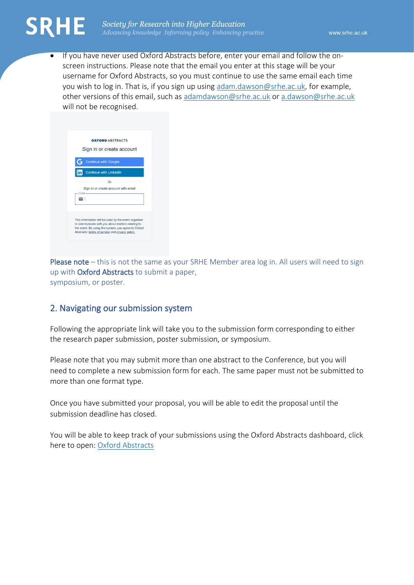

• If you have never used Oxford Abstracts before, enter your email and follow the onscreen instructions. Please note that the email you enter at this stage will be your username for Oxford Abstracts, so you must continue to use the same email each time you wish to log in. That is, if you sign up using [adam.dawson@srhe.ac.uk,](mailto:adam.dawson@srhe.ac.uk) for example, other versions of this email, such as [adamdawson@srhe.ac.uk](mailto:adamdawson@srhe.ac.uk) or [a.dawson@srhe.ac.uk](mailto:a.dawson@srhe.ac.uk) will not be recognised.

|        | <b>OXFORD ABSTRACTS</b>                                                                                   |
|--------|-----------------------------------------------------------------------------------------------------------|
|        | Sign in or create account                                                                                 |
|        | <b>Continue with Google</b>                                                                               |
|        | <b>Continue with LinkedIn</b>                                                                             |
|        | Οr                                                                                                        |
|        | Sign in or create account with email                                                                      |
| Ernail |                                                                                                           |
|        |                                                                                                           |
|        | This information will be used by the event organiser<br>to communicate with you about matters relating to |
|        | the event. By using the system, you agree to Oxford<br>Abstracts' terms of service and privacy policy,    |

Please note – this is not the same as your SRHE Member area log in. All users will need to sign up with Oxford Abstracts to submit a paper, symposium, or poster.

# 2. Navigating our submission system

Following the appropriate link will take you to the submission form corresponding to either the research paper submission, poster submission, or symposium.

Please note that you may submit more than one abstract to the Conference, but you will need to complete a new submission form for each. The same paper must not be submitted to more than one format type.

Once you have submitted your proposal, you will be able to edit the proposal until the submission deadline has closed.

You will be able to keep track of your submissions using the Oxford Abstracts dashboard, click here to open: [Oxford Abstracts](https://app.oxfordabstracts.com/dashboard/events/2888)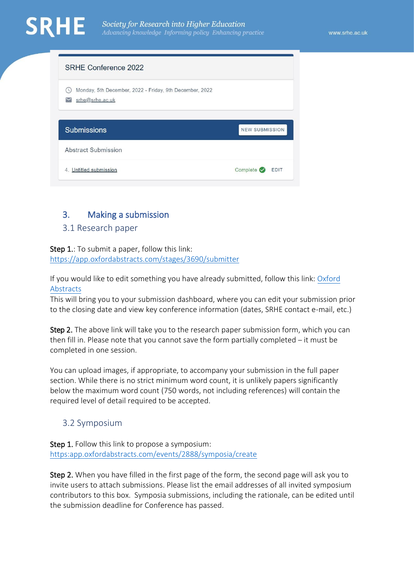| SRHE Conference 2022                                                       |                       |
|----------------------------------------------------------------------------|-----------------------|
| Monday, 5th December, 2022 - Friday, 9th December, 2022<br>srhe@srhe.ac.uk |                       |
| <b>Submissions</b>                                                         | <b>NEW SUBMISSION</b> |
|                                                                            |                       |
| Abstract Submission                                                        |                       |

# 3. Making a submission

# 3.1 Research paper

Step 1.: To submit a paper, follow this link:

<https://app.oxfordabstracts.com/stages/3690/submitter>

If you would like to edit something you have already submitted, follow this link: [Oxford](https://app.oxfordabstracts.com/dashboard/events/2888)  [Abstracts](https://app.oxfordabstracts.com/dashboard/events/2888)

This will bring you to your submission dashboard, where you can edit your submission prior to the closing date and view key conference information (dates, SRHE contact e-mail, etc.)

Step 2. The above link will take you to the research paper submission form, which you can then fill in. Please note that you cannot save the form partially completed – it must be completed in one session.

You can upload images, if appropriate, to accompany your submission in the full paper section. While there is no strict minimum word count, it is unlikely papers significantly below the maximum word count (750 words, not including references) will contain the required level of detail required to be accepted.

# 3.2 Symposium

Step 1. Follow this link to propose a symposium: [https:app.oxfordabstracts.com/events/2888/symposia/create](https://app.oxfordabstracts.com/events/2888/symposia/create)

Step 2. When you have filled in the first page of the form, the second page will ask you to invite users to attach submissions. Please list the email addresses of all invited symposium contributors to this box. Symposia submissions, including the rationale, can be edited until the submission deadline for Conference has passed.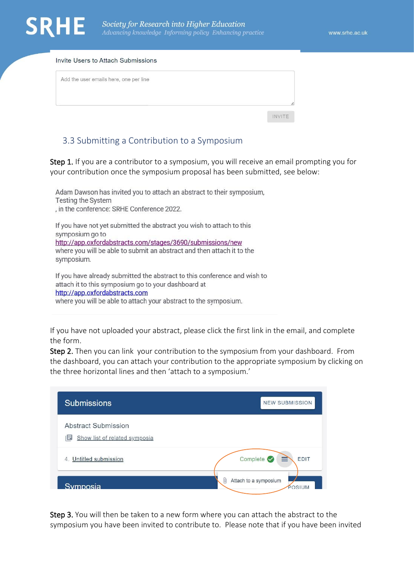#### Invite Users to Attach Submissions

| INVITE |
|--------|
|        |

#### 3.3 Submitting a Contribution to a Symposium

Step 1. If you are a contributor to a symposium, you will receive an email prompting you for your contribution once the symposium proposal has been submitted, see below:

Adam Dawson has invited you to attach an abstract to their symposium, Testing the System , in the conference: SRHE Conference 2022. If you have not yet submitted the abstract you wish to attach to this symposium go to http://app.oxfordabstracts.com/stages/3690/submissions/new where you will be able to submit an abstract and then attach it to the symposium. If you have already submitted the abstract to this conference and wish to

attach it to this symposium go to your dashboard at http://app.oxfordabstracts.com where you will be able to attach your abstract to the symposium.

If you have not uploaded your abstract, please click the first link in the email, and complete the form.

Step 2. Then you can link your contribution to the symposium from [your dashboard.](https://app.oxfordabstracts.com/dashboard) From the dashboard, you can attach your contribution to the appropriate symposium by clicking on the three horizontal lines and then 'attach to a symposium.'

| <b>Submissions</b>                                        | <b>NEW SUBMISSION</b>                         |
|-----------------------------------------------------------|-----------------------------------------------|
| Abstract Submission<br>Show list of related symposia<br>ы |                                               |
| <b>Untitled submission</b><br>4.                          | Complete $\bullet$<br><b>EDIT</b><br>$\equiv$ |
| Symposia                                                  | Attach to a symposium<br>U<br>POSIUM          |

Step 3. You will then be taken to a new form where you can attach the abstract to the symposium you have been invited to contribute to. Please note that if you have been invited